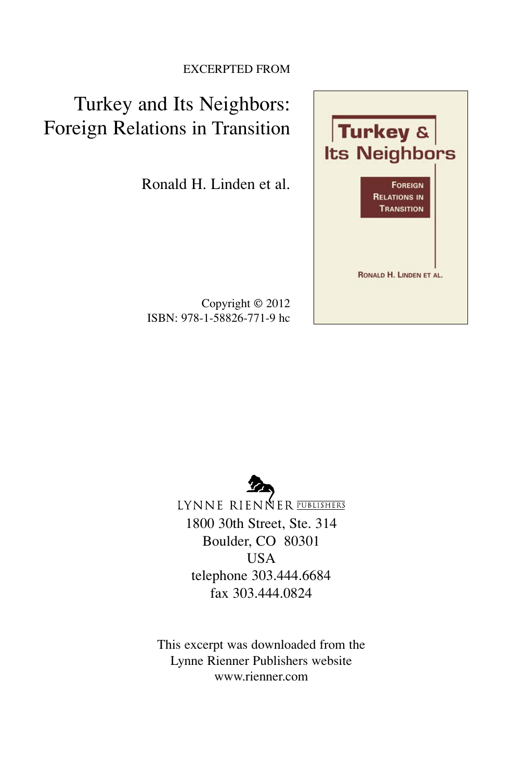#### EXCERPTED FROM

## Turkey and Its Neighbors: Foreign Relations in Transition

Ronald H. Linden et al.

Copyright © 2012 ISBN: 978-1-58826-771-9 hc



LYNNE RIENNER PUBLISHERS 1800 30th Street, Ste. 314 Boulder, CO 80301 USA telephone 303.444.6684 fax 303.444.0824

This excerpt was downloaded from the Lynne Rienner Publishers website www.rienner.com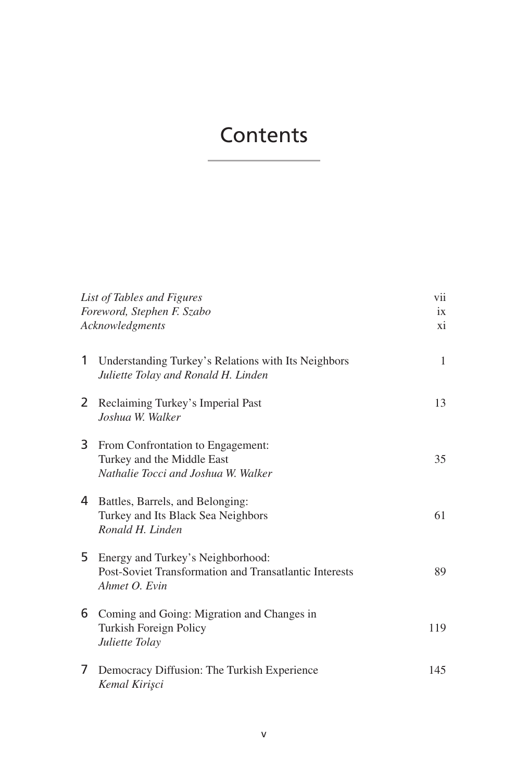## **Contents**

| List of Tables and Figures<br>Foreword, Stephen F. Szabo<br>Acknowledgments |                                                                                                              | vii<br>ix<br>xi |
|-----------------------------------------------------------------------------|--------------------------------------------------------------------------------------------------------------|-----------------|
| 1                                                                           | Understanding Turkey's Relations with Its Neighbors<br>Juliette Tolay and Ronald H. Linden                   | 1               |
| 2                                                                           | Reclaiming Turkey's Imperial Past<br>Joshua W. Walker                                                        | 13              |
| 3.                                                                          | From Confrontation to Engagement:<br>Turkey and the Middle East<br>Nathalie Tocci and Joshua W. Walker       | 35              |
| 4                                                                           | Battles, Barrels, and Belonging:<br>Turkey and Its Black Sea Neighbors<br>Ronald H. Linden                   | 61              |
| 5                                                                           | Energy and Turkey's Neighborhood:<br>Post-Soviet Transformation and Transatlantic Interests<br>Ahmet O. Evin | 89              |
| 6                                                                           | Coming and Going: Migration and Changes in<br>Turkish Foreign Policy<br>Juliette Tolay                       | 119             |
| 7                                                                           | Democracy Diffusion: The Turkish Experience<br>Kemal Kirisci                                                 | 145             |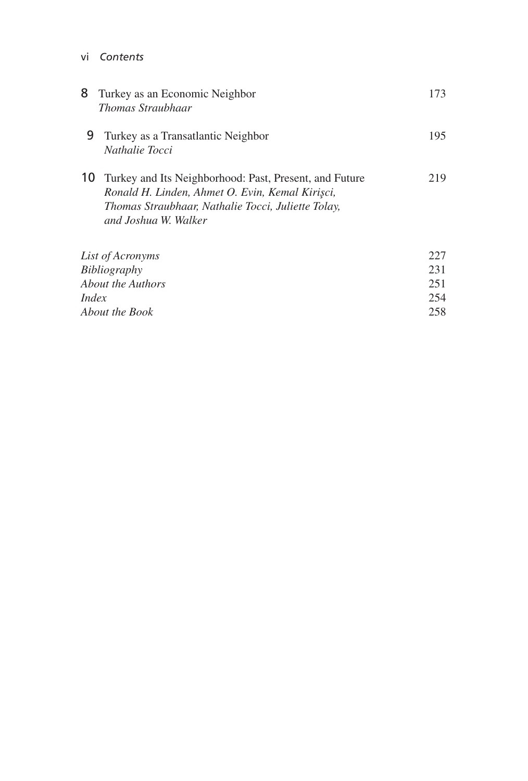vi *Contents*

| 8                 | Turkey as an Economic Neighbor<br><i>Thomas Straubhaar</i>                                                                                                                              | 173 |
|-------------------|-----------------------------------------------------------------------------------------------------------------------------------------------------------------------------------------|-----|
| 9                 | Turkey as a Transatlantic Neighbor<br><i>Nathalie Tocci</i>                                                                                                                             | 195 |
| 10                | Turkey and Its Neighborhood: Past, Present, and Future<br>Ronald H. Linden, Ahmet O. Evin, Kemal Kirişci,<br>Thomas Straubhaar, Nathalie Tocci, Juliette Tolay,<br>and Joshua W. Walker | 219 |
| List of Acronyms  |                                                                                                                                                                                         | 227 |
| Bibliography      |                                                                                                                                                                                         | 231 |
| About the Authors |                                                                                                                                                                                         |     |

| <i>Index</i>   | 254 |
|----------------|-----|
| About the Book | 258 |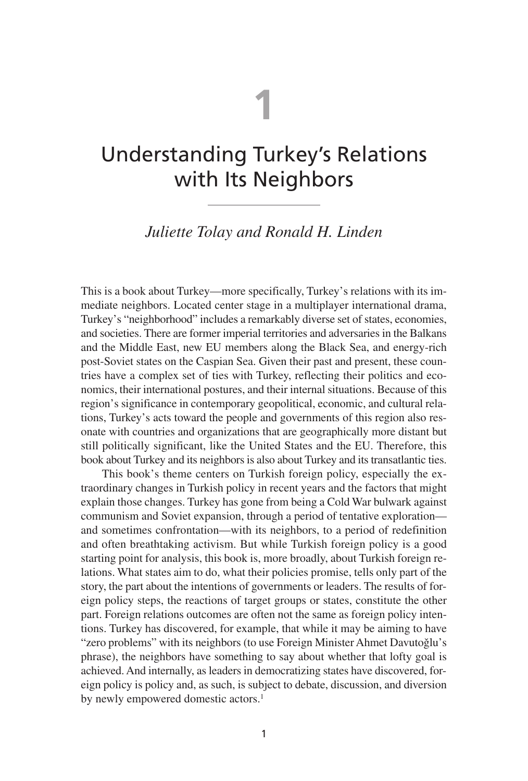# **1**

## Understanding Turkey's Relations with Its Neighbors

### *Juliette Tolay and Ronald H. Linden*

This is a book about Turkey—more specifically, Turkey's relations with its immediate neighbors. Located center stage in a multiplayer international drama, Turkey's "neighborhood" includes a remarkably diverse set of states, economies, and societies. There are former imperial territories and adversaries in the Balkans and the Middle East, new EU members along the Black Sea, and energy-rich post-Soviet states on the Caspian Sea. Given their past and present, these countries have a complex set of ties with Turkey, reflecting their politics and economics, their international postures, and their internal situations. Because of this region's significance in contemporary geopolitical, economic, and cultural relations, Turkey's acts toward the people and governments of this region also resonate with countries and organizations that are geographically more distant but still politically significant, like the United States and the EU. Therefore, this book about Turkey and its neighbors is also about Turkey and its transatlantic ties.

This book's theme centers on Turkish foreign policy, especially the extraordinary changes in Turkish policy in recent years and the factors that might explain those changes. Turkey has gone from being a Cold War bulwark against communism and Soviet expansion, through a period of tentative exploration and sometimes confrontation—with its neighbors, to a period of redefinition and often breathtaking activism. But while Turkish foreign policy is a good starting point for analysis, this book is, more broadly, about Turkish foreign relations. What states aim to do, what their policies promise, tells only part of the story, the part about the intentions of governments or leaders. The results of foreign policy steps, the reactions of target groups or states, constitute the other part. Foreign relations outcomes are often not the same as foreign policy intentions. Turkey has discovered, for example, that while it may be aiming to have "zero problems" with its neighbors (to use Foreign Minister Ahmet Davutoğlu's phrase), the neighbors have something to say about whether that lofty goal is achieved. And internally, as leaders in democratizing states have discovered, foreign policy is policy and, as such, is subject to debate, discussion, and diversion by newly empowered domestic actors.<sup>1</sup>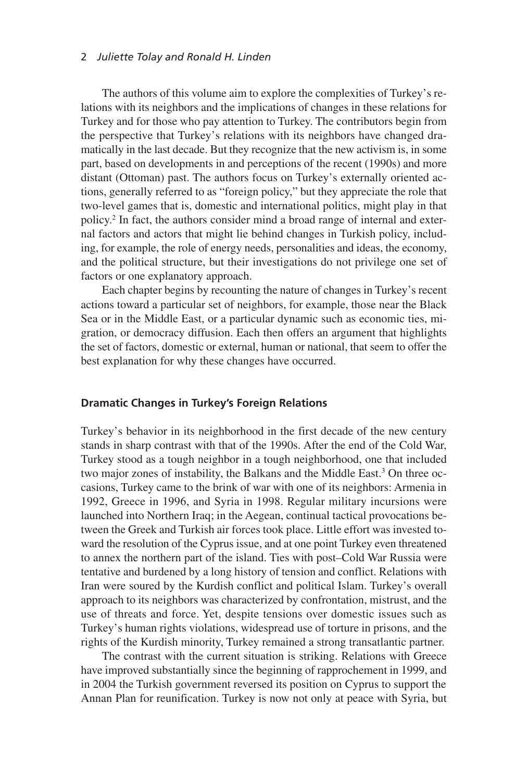#### 2 *Juliette Tolay and Ronald H. Linden*

The authors of this volume aim to explore the complexities of Turkey's relations with its neighbors and the implications of changes in these relations for Turkey and for those who pay attention to Turkey. The contributors begin from the perspective that Turkey's relations with its neighbors have changed dramatically in the last decade. But they recognize that the new activism is, in some part, based on developments in and perceptions of the recent (1990s) and more distant (Ottoman) past. The authors focus on Turkey's externally oriented actions, generally referred to as "foreign policy," but they appreciate the role that two-level games that is, domestic and international politics, might play in that policy.2 In fact, the authors consider mind a broad range of internal and external factors and actors that might lie behind changes in Turkish policy, including, for example, the role of energy needs, personalities and ideas, the economy, and the political structure, but their investigations do not privilege one set of factors or one explanatory approach.

Each chapter begins by recounting the nature of changes in Turkey's recent actions toward a particular set of neighbors, for example, those near the Black Sea or in the Middle East, or a particular dynamic such as economic ties, migration, or democracy diffusion. Each then offers an argument that highlights the set of factors, domestic or external, human or national, that seem to offer the best explanation for why these changes have occurred.

#### **Dramatic Changes in Turkey's Foreign Relations**

Turkey's behavior in its neighborhood in the first decade of the new century stands in sharp contrast with that of the 1990s. After the end of the Cold War, Turkey stood as a tough neighbor in a tough neighborhood, one that included two major zones of instability, the Balkans and the Middle East.3 On three occasions, Turkey came to the brink of war with one of its neighbors: Armenia in 1992, Greece in 1996, and Syria in 1998. Regular military incursions were launched into Northern Iraq; in the Aegean, continual tactical provocations between the Greek and Turkish air forces took place. Little effort was invested toward the resolution of the Cyprus issue, and at one point Turkey even threatened to annex the northern part of the island. Ties with post–Cold War Russia were tentative and burdened by a long history of tension and conflict. Relations with Iran were soured by the Kurdish conflict and political Islam. Turkey's overall approach to its neighbors was characterized by confrontation, mistrust, and the use of threats and force. Yet, despite tensions over domestic issues such as Turkey's human rights violations, widespread use of torture in prisons, and the rights of the Kurdish minority, Turkey remained a strong transatlantic partner.

The contrast with the current situation is striking. Relations with Greece have improved substantially since the beginning of rapprochement in 1999, and in 2004 the Turkish government reversed its position on Cyprus to support the Annan Plan for reunification. Turkey is now not only at peace with Syria, but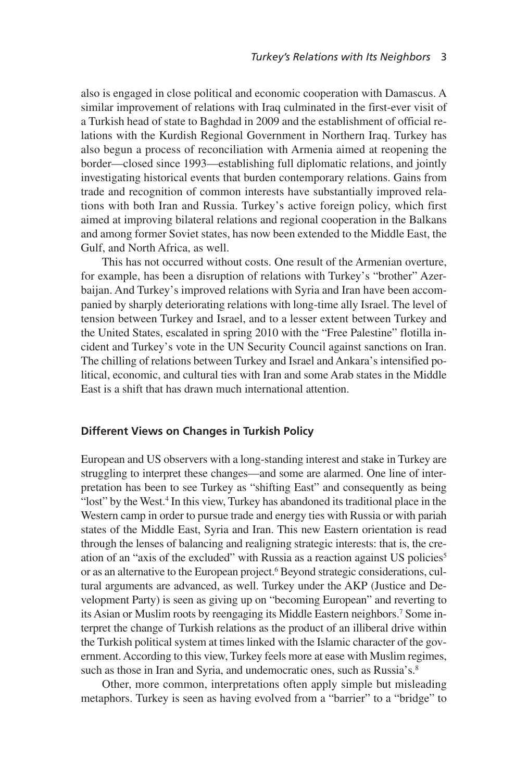also is engaged in close political and economic cooperation with Damascus. A similar improvement of relations with Iraq culminated in the first-ever visit of a Turkish head of state to Baghdad in 2009 and the establishment of official relations with the Kurdish Regional Government in Northern Iraq. Turkey has also begun a process of reconciliation with Armenia aimed at reopening the border—closed since 1993—establishing full diplomatic relations, and jointly investigating historical events that burden contemporary relations. Gains from trade and recognition of common interests have substantially improved relations with both Iran and Russia. Turkey's active foreign policy, which first aimed at improving bilateral relations and regional cooperation in the Balkans and among former Soviet states, has now been extended to the Middle East, the Gulf, and North Africa, as well.

This has not occurred without costs. One result of the Armenian overture, for example, has been a disruption of relations with Turkey's "brother" Azerbaijan. And Turkey's improved relations with Syria and Iran have been accompanied by sharply deteriorating relations with long-time ally Israel. The level of tension between Turkey and Israel, and to a lesser extent between Turkey and the United States, escalated in spring 2010 with the "Free Palestine" flotilla incident and Turkey's vote in the UN Security Council against sanctions on Iran. The chilling of relations between Turkey and Israel and Ankara's intensified political, economic, and cultural ties with Iran and some Arab states in the Middle East is a shift that has drawn much international attention.

#### **Different Views on Changes in Turkish Policy**

European and US observers with a long-standing interest and stake in Turkey are struggling to interpret these changes—and some are alarmed. One line of interpretation has been to see Turkey as "shifting East" and consequently as being "lost" by the West.<sup>4</sup> In this view, Turkey has abandoned its traditional place in the Western camp in order to pursue trade and energy ties with Russia or with pariah states of the Middle East, Syria and Iran. This new Eastern orientation is read through the lenses of balancing and realigning strategic interests: that is, the creation of an "axis of the excluded" with Russia as a reaction against US policies5 or as an alternative to the European project.<sup>6</sup> Beyond strategic considerations, cultural arguments are advanced, as well. Turkey under the AKP (Justice and Development Party) is seen as giving up on "becoming European" and reverting to its Asian or Muslim roots by reengaging its Middle Eastern neighbors.<sup>7</sup> Some interpret the change of Turkish relations as the product of an illiberal drive within the Turkish political system at times linked with the Islamic character of the government. According to this view, Turkey feels more at ease with Muslim regimes, such as those in Iran and Syria, and undemocratic ones, such as Russia's.<sup>8</sup>

Other, more common, interpretations often apply simple but misleading metaphors. Turkey is seen as having evolved from a "barrier" to a "bridge" to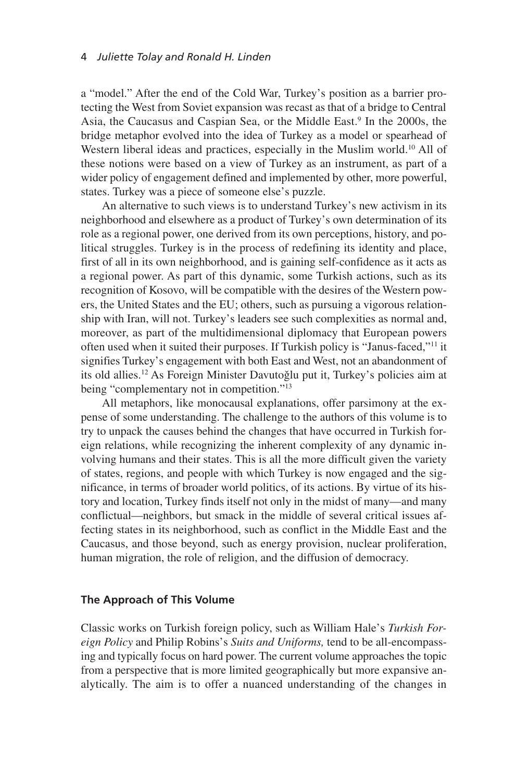a "model." After the end of the Cold War, Turkey's position as a barrier protecting the West from Soviet expansion was recast as that of a bridge to Central Asia, the Caucasus and Caspian Sea, or the Middle East.<sup>9</sup> In the 2000s, the bridge metaphor evolved into the idea of Turkey as a model or spearhead of Western liberal ideas and practices, especially in the Muslim world.<sup>10</sup> All of these notions were based on a view of Turkey as an instrument, as part of a wider policy of engagement defined and implemented by other, more powerful, states. Turkey was a piece of someone else's puzzle.

An alternative to such views is to understand Turkey's new activism in its neighborhood and elsewhere as a product of Turkey's own determination of its role as a regional power, one derived from its own perceptions, history, and political struggles. Turkey is in the process of redefining its identity and place, first of all in its own neighborhood, and is gaining self-confidence as it acts as a regional power. As part of this dynamic, some Turkish actions, such as its recognition of Kosovo, will be compatible with the desires of the Western powers, the United States and the EU; others, such as pursuing a vigorous relationship with Iran, will not. Turkey's leaders see such complexities as normal and, moreover, as part of the multidimensional diplomacy that European powers often used when it suited their purposes. If Turkish policy is "Janus-faced,"11 it signifies Turkey's engagement with both East and West, not an abandonment of its old allies.<sup>12</sup> As Foreign Minister Davutoğlu put it, Turkey's policies aim at being "complementary not in competition."13

All metaphors, like monocausal explanations, offer parsimony at the expense of some understanding. The challenge to the authors of this volume is to try to unpack the causes behind the changes that have occurred in Turkish foreign relations, while recognizing the inherent complexity of any dynamic involving humans and their states. This is all the more difficult given the variety of states, regions, and people with which Turkey is now engaged and the significance, in terms of broader world politics, of its actions. By virtue of its history and location, Turkey finds itself not only in the midst of many—and many conflictual—neighbors, but smack in the middle of several critical issues affecting states in its neighborhood, such as conflict in the Middle East and the Caucasus, and those beyond, such as energy provision, nuclear proliferation, human migration, the role of religion, and the diffusion of democracy.

#### **The Approach of This Volume**

Classic works on Turkish foreign policy, such as William Hale's *Turkish Foreign Policy* and Philip Robins's *Suits and Uniforms,* tend to be all-encompassing and typically focus on hard power. The current volume approaches the topic from a perspective that is more limited geographically but more expansive analytically. The aim is to offer a nuanced understanding of the changes in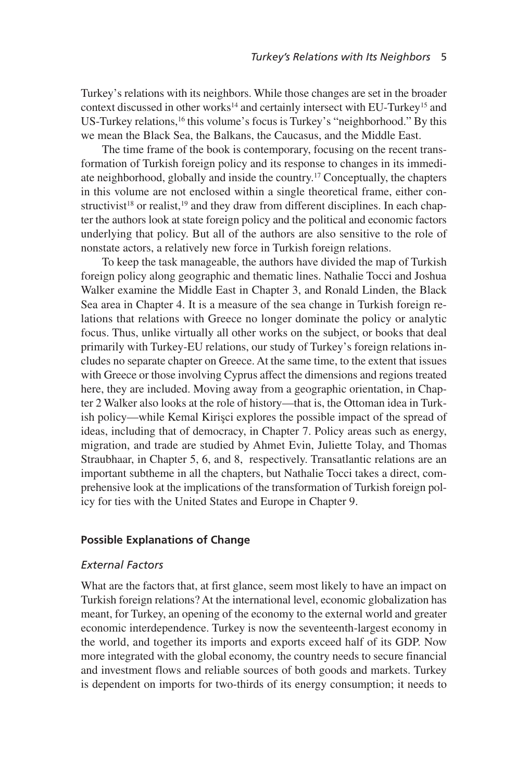Turkey's relations with its neighbors. While those changes are set in the broader context discussed in other works<sup>14</sup> and certainly intersect with EU-Turkey<sup>15</sup> and US-Turkey relations,<sup>16</sup> this volume's focus is Turkey's "neighborhood." By this we mean the Black Sea, the Balkans, the Caucasus, and the Middle East.

The time frame of the book is contemporary, focusing on the recent transformation of Turkish foreign policy and its response to changes in its immediate neighborhood, globally and inside the country.17 Conceptually, the chapters in this volume are not enclosed within a single theoretical frame, either constructivist<sup>18</sup> or realist,<sup>19</sup> and they draw from different disciplines. In each chapter the authors look at state foreign policy and the political and economic factors underlying that policy. But all of the authors are also sensitive to the role of nonstate actors, a relatively new force in Turkish foreign relations.

To keep the task manageable, the authors have divided the map of Turkish foreign policy along geographic and thematic lines. Nathalie Tocci and Joshua Walker examine the Middle East in Chapter 3, and Ronald Linden, the Black Sea area in Chapter 4. It is a measure of the sea change in Turkish foreign relations that relations with Greece no longer dominate the policy or analytic focus. Thus, unlike virtually all other works on the subject, or books that deal primarily with Turkey-EU relations, our study of Turkey's foreign relations includes no separate chapter on Greece. At the same time, to the extent that issues with Greece or those involving Cyprus affect the dimensions and regions treated here, they are included. Moving away from a geographic orientation, in Chapter 2 Walker also looks at the role of history—that is, the Ottoman idea in Turkish policy—while Kemal Kirişci explores the possible impact of the spread of ideas, including that of democracy, in Chapter 7. Policy areas such as energy, migration, and trade are studied by Ahmet Evin, Juliette Tolay, and Thomas Straubhaar, in Chapter 5, 6, and 8, respectively. Transatlantic relations are an important subtheme in all the chapters, but Nathalie Tocci takes a direct, comprehensive look at the implications of the transformation of Turkish foreign policy for ties with the United States and Europe in Chapter 9.

#### **Possible Explanations of Change**

#### *External Factors*

What are the factors that, at first glance, seem most likely to have an impact on Turkish foreign relations? At the international level, economic globalization has meant, for Turkey, an opening of the economy to the external world and greater economic interdependence. Turkey is now the seventeenth-largest economy in the world, and together its imports and exports exceed half of its GDP. Now more integrated with the global economy, the country needs to secure financial and investment flows and reliable sources of both goods and markets. Turkey is dependent on imports for two-thirds of its energy consumption; it needs to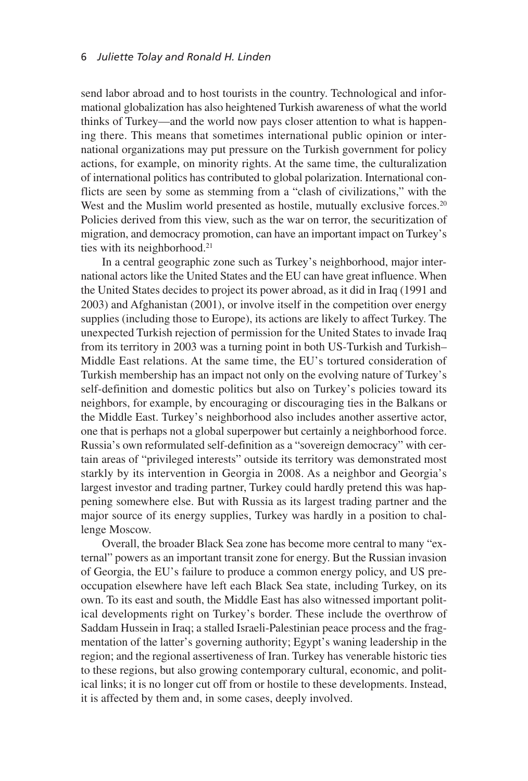send labor abroad and to host tourists in the country. Technological and informational globalization has also heightened Turkish awareness of what the world thinks of Turkey—and the world now pays closer attention to what is happening there. This means that sometimes international public opinion or international organizations may put pressure on the Turkish government for policy actions, for example, on minority rights. At the same time, the culturalization of international politics has contributed to global polarization. International conflicts are seen by some as stemming from a "clash of civilizations," with the West and the Muslim world presented as hostile, mutually exclusive forces.<sup>20</sup> Policies derived from this view, such as the war on terror, the securitization of migration, and democracy promotion, can have an important impact on Turkey's ties with its neighborhood.<sup>21</sup>

In a central geographic zone such as Turkey's neighborhood, major international actors like the United States and the EU can have great influence. When the United States decides to project its power abroad, as it did in Iraq (1991 and 2003) and Afghanistan (2001), or involve itself in the competition over energy supplies (including those to Europe), its actions are likely to affect Turkey. The unexpected Turkish rejection of permission for the United States to invade Iraq from its territory in 2003 was a turning point in both US-Turkish and Turkish– Middle East relations. At the same time, the EU's tortured consideration of Turkish membership has an impact not only on the evolving nature of Turkey's self-definition and domestic politics but also on Turkey's policies toward its neighbors, for example, by encouraging or discouraging ties in the Balkans or the Middle East. Turkey's neighborhood also includes another assertive actor, one that is perhaps not a global superpower but certainly a neighborhood force. Russia's own reformulated self-definition as a "sovereign democracy" with certain areas of "privileged interests" outside its territory was demonstrated most starkly by its intervention in Georgia in 2008. As a neighbor and Georgia's largest investor and trading partner, Turkey could hardly pretend this was happening somewhere else. But with Russia as its largest trading partner and the major source of its energy supplies, Turkey was hardly in a position to challenge Moscow.

Overall, the broader Black Sea zone has become more central to many "external" powers as an important transit zone for energy. But the Russian invasion of Georgia, the EU's failure to produce a common energy policy, and US preoccupation elsewhere have left each Black Sea state, including Turkey, on its own. To its east and south, the Middle East has also witnessed important political developments right on Turkey's border. These include the overthrow of Saddam Hussein in Iraq; a stalled Israeli-Palestinian peace process and the fragmentation of the latter's governing authority; Egypt's waning leadership in the region; and the regional assertiveness of Iran. Turkey has venerable historic ties to these regions, but also growing contemporary cultural, economic, and political links; it is no longer cut off from or hostile to these developments. Instead, it is affected by them and, in some cases, deeply involved.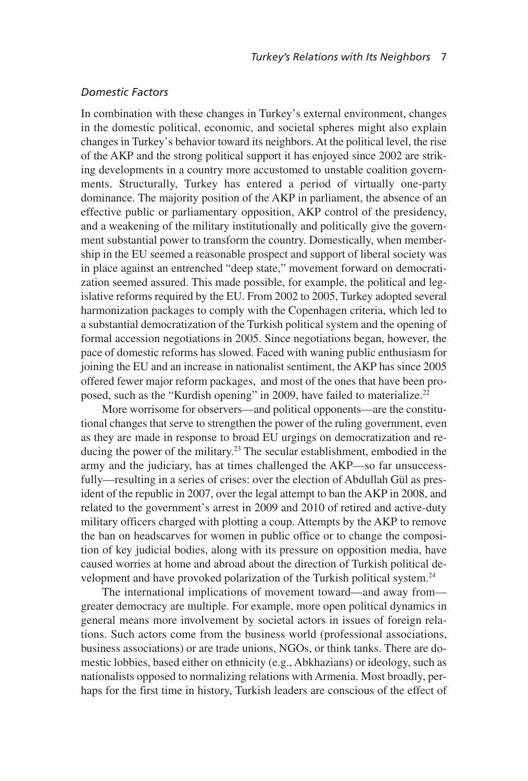#### *Domestic Factors*

In combination with these changes in Turkey's external environment, changes in the domestic political, economic, and societal spheres might also explain changes in Turkey's behavior toward its neighbors. At the political level, the rise of the AKP and the strong political support it has enjoyed since 2002 are striking developments in a country more accustomed to unstable coalition governments. Structurally, Turkey has entered a period of virtually one-party dominance. The majority position of the AKP in parliament, the absence of an effective public or parliamentary opposition, AKP control of the presidency, and a weakening of the military institutionally and politically give the government substantial power to transform the country. Domestically, when membership in the EU seemed a reasonable prospect and support of liberal society was in place against an entrenched "deep state," movement forward on democratization seemed assured. This made possible, for example, the political and legislative reforms required by the EU. From 2002 to 2005, Turkey adopted several harmonization packages to comply with the Copenhagen criteria, which led to a substantial democratization of the Turkish political system and the opening of formal accession negotiations in 2005. Since negotiations began, however, the pace of domestic reforms has slowed. Faced with waning public enthusiasm for joining the EU and an increase in nationalist sentiment, the AKP has since 2005 offered fewer major reform packages, and most of the ones that have been proposed, such as the "Kurdish opening" in 2009, have failed to materialize.<sup>22</sup>

More worrisome for observers—and political opponents—are the constitutional changes that serve to strengthen the power of the ruling government, even as they are made in response to broad EU urgings on democratization and reducing the power of the military.23 The secular establishment, embodied in the army and the judiciary, has at times challenged the AKP—so far unsuccessfully—resulting in a series of crises: over the election of Abdullah Gül as president of the republic in 2007, over the legal attempt to ban the AKP in 2008, and related to the government's arrest in 2009 and 2010 of retired and active-duty military officers charged with plotting a coup. Attempts by the AKP to remove the ban on headscarves for women in public office or to change the composition of key judicial bodies, along with its pressure on opposition media, have caused worries at home and abroad about the direction of Turkish political development and have provoked polarization of the Turkish political system.24

The international implications of movement toward—and away from greater democracy are multiple. For example, more open political dynamics in general means more involvement by societal actors in issues of foreign relations. Such actors come from the business world (professional associations, business associations) or are trade unions, NGOs, or think tanks. There are domestic lobbies, based either on ethnicity (e.g., Abkhazians) or ideology, such as nationalists opposed to normalizing relations with Armenia. Most broadly, perhaps for the first time in history, Turkish leaders are conscious of the effect of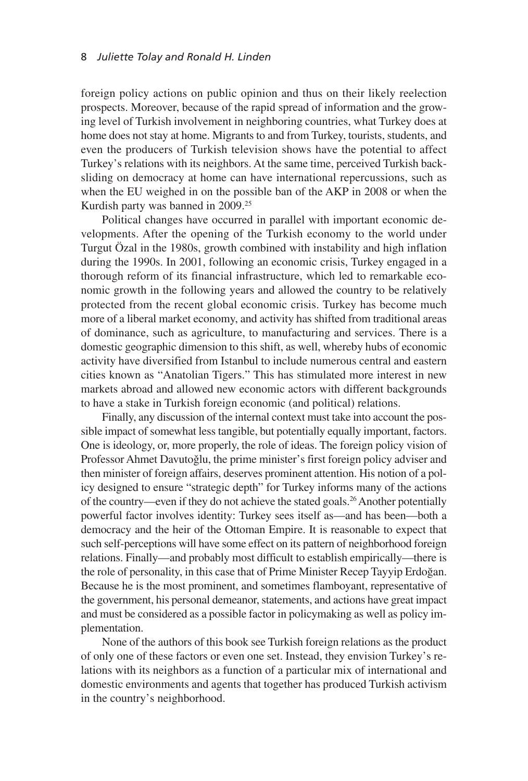foreign policy actions on public opinion and thus on their likely reelection prospects. Moreover, because of the rapid spread of information and the growing level of Turkish involvement in neighboring countries, what Turkey does at home does not stay at home. Migrants to and from Turkey, tourists, students, and even the producers of Turkish television shows have the potential to affect Turkey's relations with its neighbors. At the same time, perceived Turkish backsliding on democracy at home can have international repercussions, such as when the EU weighed in on the possible ban of the AKP in 2008 or when the Kurdish party was banned in 2009.<sup>25</sup>

Political changes have occurred in parallel with important economic developments. After the opening of the Turkish economy to the world under Turgut Özal in the 1980s, growth combined with instability and high inflation during the 1990s. In 2001, following an economic crisis, Turkey engaged in a thorough reform of its financial infrastructure, which led to remarkable economic growth in the following years and allowed the country to be relatively protected from the recent global economic crisis. Turkey has become much more of a liberal market economy, and activity has shifted from traditional areas of dominance, such as agriculture, to manufacturing and services. There is a domestic geographic dimension to this shift, as well, whereby hubs of economic activity have diversified from Istanbul to include numerous central and eastern cities known as "Anatolian Tigers." This has stimulated more interest in new markets abroad and allowed new economic actors with different backgrounds to have a stake in Turkish foreign economic (and political) relations.

Finally, any discussion of the internal context must take into account the possible impact of somewhat less tangible, but potentially equally important, factors. One is ideology, or, more properly, the role of ideas. The foreign policy vision of Professor Ahmet Davutoğlu, the prime minister's first foreign policy adviser and then minister of foreign affairs, deserves prominent attention. His notion of a policy designed to ensure "strategic depth" for Turkey informs many of the actions of the country—even if they do not achieve the stated goals.26Another potentially powerful factor involves identity: Turkey sees itself as—and has been—both a democracy and the heir of the Ottoman Empire. It is reasonable to expect that such self-perceptions will have some effect on its pattern of neighborhood foreign relations. Finally—and probably most difficult to establish empirically—there is the role of personality, in this case that of Prime Minister Recep Tayyip Erdoÿan. Because he is the most prominent, and sometimes flamboyant, representative of the government, his personal demeanor, statements, and actions have great impact and must be considered as a possible factor in policymaking as well as policy implementation.

None of the authors of this book see Turkish foreign relations as the product of only one of these factors or even one set. Instead, they envision Turkey's relations with its neighbors as a function of a particular mix of international and domestic environments and agents that together has produced Turkish activism in the country's neighborhood.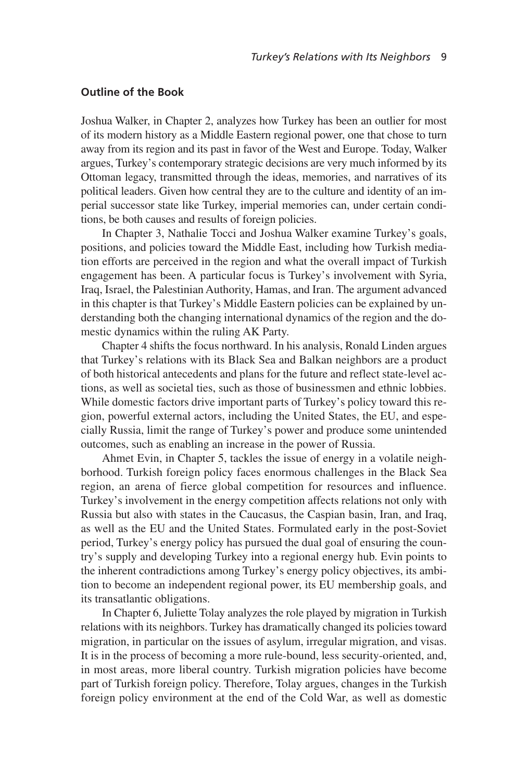#### **Outline of the Book**

Joshua Walker, in Chapter 2, analyzes how Turkey has been an outlier for most of its modern history as a Middle Eastern regional power, one that chose to turn away from its region and its past in favor of the West and Europe. Today, Walker argues, Turkey's contemporary strategic decisions are very much informed by its Ottoman legacy, transmitted through the ideas, memories, and narratives of its political leaders. Given how central they are to the culture and identity of an imperial successor state like Turkey, imperial memories can, under certain conditions, be both causes and results of foreign policies.

In Chapter 3, Nathalie Tocci and Joshua Walker examine Turkey's goals, positions, and policies toward the Middle East, including how Turkish mediation efforts are perceived in the region and what the overall impact of Turkish engagement has been. A particular focus is Turkey's involvement with Syria, Iraq, Israel, the Palestinian Authority, Hamas, and Iran. The argument advanced in this chapter is that Turkey's Middle Eastern policies can be explained by understanding both the changing international dynamics of the region and the domestic dynamics within the ruling AK Party.

Chapter 4 shifts the focus northward. In his analysis, Ronald Linden argues that Turkey's relations with its Black Sea and Balkan neighbors are a product of both historical antecedents and plans for the future and reflect state-level actions, as well as societal ties, such as those of businessmen and ethnic lobbies. While domestic factors drive important parts of Turkey's policy toward this region, powerful external actors, including the United States, the EU, and especially Russia, limit the range of Turkey's power and produce some unintended outcomes, such as enabling an increase in the power of Russia.

Ahmet Evin, in Chapter 5, tackles the issue of energy in a volatile neighborhood. Turkish foreign policy faces enormous challenges in the Black Sea region, an arena of fierce global competition for resources and influence. Turkey's involvement in the energy competition affects relations not only with Russia but also with states in the Caucasus, the Caspian basin, Iran, and Iraq, as well as the EU and the United States. Formulated early in the post-Soviet period, Turkey's energy policy has pursued the dual goal of ensuring the country's supply and developing Turkey into a regional energy hub. Evin points to the inherent contradictions among Turkey's energy policy objectives, its ambition to become an independent regional power, its EU membership goals, and its transatlantic obligations.

In Chapter 6, Juliette Tolay analyzes the role played by migration in Turkish relations with its neighbors. Turkey has dramatically changed its policies toward migration, in particular on the issues of asylum, irregular migration, and visas. It is in the process of becoming a more rule-bound, less security-oriented, and, in most areas, more liberal country. Turkish migration policies have become part of Turkish foreign policy. Therefore, Tolay argues, changes in the Turkish foreign policy environment at the end of the Cold War, as well as domestic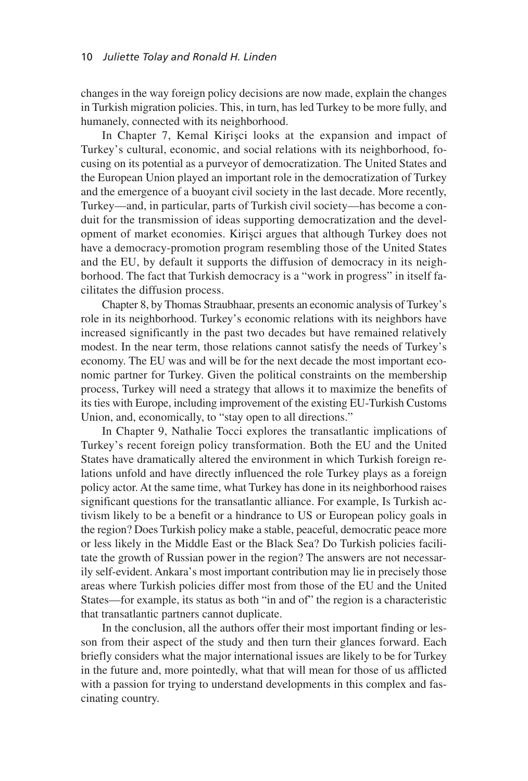changes in the way foreign policy decisions are now made, explain the changes in Turkish migration policies. This, in turn, has led Turkey to be more fully, and humanely, connected with its neighborhood.

In Chapter 7, Kemal Kirisci looks at the expansion and impact of Turkey's cultural, economic, and social relations with its neighborhood, focusing on its potential as a purveyor of democratization. The United States and the European Union played an important role in the democratization of Turkey and the emergence of a buoyant civil society in the last decade. More recently, Turkey—and, in particular, parts of Turkish civil society—has become a conduit for the transmission of ideas supporting democratization and the development of market economies. Kirisci argues that although Turkey does not have a democracy-promotion program resembling those of the United States and the EU, by default it supports the diffusion of democracy in its neighborhood. The fact that Turkish democracy is a "work in progress" in itself facilitates the diffusion process.

Chapter 8, by Thomas Straubhaar, presents an economic analysis of Turkey's role in its neighborhood. Turkey's economic relations with its neighbors have increased significantly in the past two decades but have remained relatively modest. In the near term, those relations cannot satisfy the needs of Turkey's economy. The EU was and will be for the next decade the most important economic partner for Turkey. Given the political constraints on the membership process, Turkey will need a strategy that allows it to maximize the benefits of its ties with Europe, including improvement of the existing EU-Turkish Customs Union, and, economically, to "stay open to all directions."

In Chapter 9, Nathalie Tocci explores the transatlantic implications of Turkey's recent foreign policy transformation. Both the EU and the United States have dramatically altered the environment in which Turkish foreign relations unfold and have directly influenced the role Turkey plays as a foreign policy actor. At the same time, what Turkey has done in its neighborhood raises significant questions for the transatlantic alliance. For example, Is Turkish activism likely to be a benefit or a hindrance to US or European policy goals in the region? Does Turkish policy make a stable, peaceful, democratic peace more or less likely in the Middle East or the Black Sea? Do Turkish policies facilitate the growth of Russian power in the region? The answers are not necessarily self-evident. Ankara's most important contribution may lie in precisely those areas where Turkish policies differ most from those of the EU and the United States—for example, its status as both "in and of" the region is a characteristic that transatlantic partners cannot duplicate.

In the conclusion, all the authors offer their most important finding or lesson from their aspect of the study and then turn their glances forward. Each briefly considers what the major international issues are likely to be for Turkey in the future and, more pointedly, what that will mean for those of us afflicted with a passion for trying to understand developments in this complex and fascinating country.